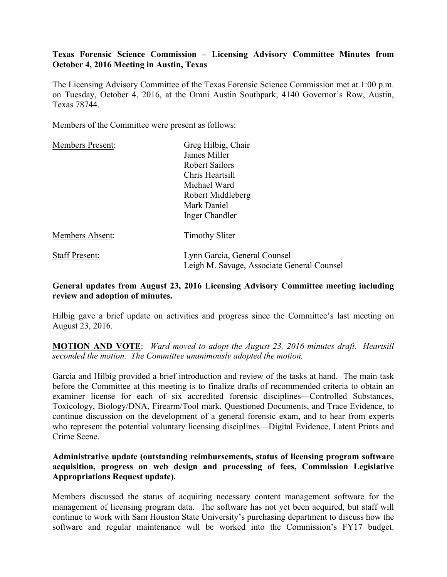## **Texas Forensic Science Commission – Licensing Advisory Committee Minutes from October 4, 2016 Meeting in Austin, Texas**

The Licensing Advisory Committee of the Texas Forensic Science Commission met at 1:00 p.m. on Tuesday, October 4, 2016, at the Omni Austin Southpark, 4140 Governor's Row, Austin, Texas 78744.

Members of the Committee were present as follows:

| <b>Members Present:</b> | Greg Hilbig, Chair                         |
|-------------------------|--------------------------------------------|
|                         | James Miller                               |
|                         | <b>Robert Sailors</b>                      |
|                         | Chris Heartsill                            |
|                         | Michael Ward                               |
|                         | Robert Middleberg                          |
|                         | Mark Daniel                                |
|                         | Inger Chandler                             |
| Members Absent:         | <b>Timothy Sliter</b>                      |
| <b>Staff Present:</b>   | Lynn Garcia, General Counsel               |
|                         | Leigh M. Savage, Associate General Counsel |

#### **General updates from August 23, 2016 Licensing Advisory Committee meeting including review and adoption of minutes.**

Hilbig gave a brief update on activities and progress since the Committee's last meeting on August 23, 2016.

**MOTION AND VOTE**: *Ward moved to adopt the August 23, 2016 minutes draft. Heartsill seconded the motion. The Committee unanimously adopted the motion.*

Garcia and Hilbig provided a brief introduction and review of the tasks at hand. The main task before the Committee at this meeting is to finalize drafts of recommended criteria to obtain an examiner license for each of six accredited forensic disciplines—Controlled Substances, Toxicology, Biology/DNA, Firearm/Tool mark, Questioned Documents, and Trace Evidence, to continue discussion on the development of a general forensic exam, and to hear from experts who represent the potential voluntary licensing disciplines—Digital Evidence, Latent Prints and Crime Scene.

## **Administrative update (outstanding reimbursements, status of licensing program software acquisition, progress on web design and processing of fees, Commission Legislative Appropriations Request update).**

Members discussed the status of acquiring necessary content management software for the management of licensing program data. The software has not yet been acquired, but staff will continue to work with Sam Houston State University's purchasing department to discuss how the software and regular maintenance will be worked into the Commission's FY17 budget.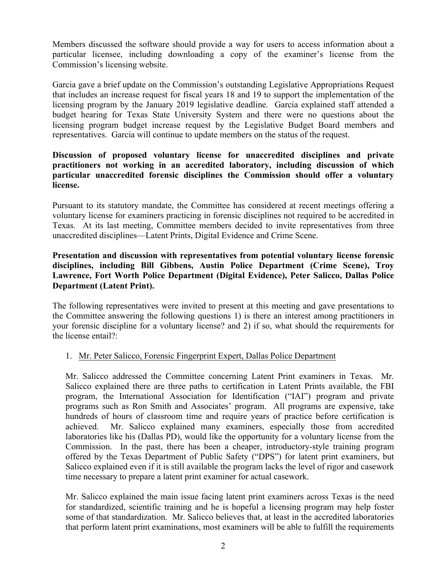Members discussed the software should provide a way for users to access information about a particular licensee, including downloading a copy of the examiner's license from the Commission's licensing website.

Garcia gave a brief update on the Commission's outstanding Legislative Appropriations Request that includes an increase request for fiscal years 18 and 19 to support the implementation of the licensing program by the January 2019 legislative deadline. Garcia explained staff attended a budget hearing for Texas State University System and there were no questions about the licensing program budget increase request by the Legislative Budget Board members and representatives. Garcia will continue to update members on the status of the request.

## **Discussion of proposed voluntary license for unaccredited disciplines and private practitioners not working in an accredited laboratory, including discussion of which particular unaccredited forensic disciplines the Commission should offer a voluntary license.**

Pursuant to its statutory mandate, the Committee has considered at recent meetings offering a voluntary license for examiners practicing in forensic disciplines not required to be accredited in Texas. At its last meeting, Committee members decided to invite representatives from three unaccredited disciplines—Latent Prints, Digital Evidence and Crime Scene.

# **Presentation and discussion with representatives from potential voluntary license forensic disciplines, including Bill Gibbens, Austin Police Department (Crime Scene), Troy Lawrence, Fort Worth Police Department (Digital Evidence), Peter Salicco, Dallas Police Department (Latent Print).**

The following representatives were invited to present at this meeting and gave presentations to the Committee answering the following questions 1) is there an interest among practitioners in your forensic discipline for a voluntary license? and 2) if so, what should the requirements for the license entail?:

# 1. Mr. Peter Salicco, Forensic Fingerprint Expert, Dallas Police Department

Mr. Salicco addressed the Committee concerning Latent Print examiners in Texas. Mr. Salicco explained there are three paths to certification in Latent Prints available, the FBI program, the International Association for Identification ("IAI") program and private programs such as Ron Smith and Associates' program. All programs are expensive, take hundreds of hours of classroom time and require years of practice before certification is achieved. Mr. Salicco explained many examiners, especially those from accredited laboratories like his (Dallas PD), would like the opportunity for a voluntary license from the Commission. In the past, there has been a cheaper, introductory-style training program offered by the Texas Department of Public Safety ("DPS") for latent print examiners, but Salicco explained even if it is still available the program lacks the level of rigor and casework time necessary to prepare a latent print examiner for actual casework.

Mr. Salicco explained the main issue facing latent print examiners across Texas is the need for standardized, scientific training and he is hopeful a licensing program may help foster some of that standardization. Mr. Salicco believes that, at least in the accredited laboratories that perform latent print examinations, most examiners will be able to fulfill the requirements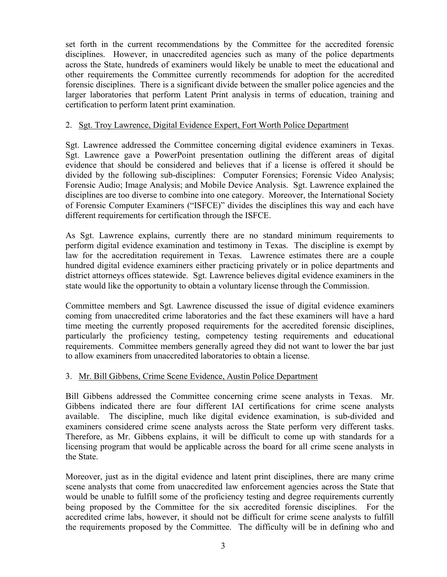set forth in the current recommendations by the Committee for the accredited forensic disciplines. However, in unaccredited agencies such as many of the police departments across the State, hundreds of examiners would likely be unable to meet the educational and other requirements the Committee currently recommends for adoption for the accredited forensic disciplines. There is a significant divide between the smaller police agencies and the larger laboratories that perform Latent Print analysis in terms of education, training and certification to perform latent print examination.

### 2. Sgt. Troy Lawrence, Digital Evidence Expert, Fort Worth Police Department

Sgt. Lawrence addressed the Committee concerning digital evidence examiners in Texas. Sgt. Lawrence gave a PowerPoint presentation outlining the different areas of digital evidence that should be considered and believes that if a license is offered it should be divided by the following sub-disciplines: Computer Forensics; Forensic Video Analysis; Forensic Audio; Image Analysis; and Mobile Device Analysis. Sgt. Lawrence explained the disciplines are too diverse to combine into one category. Moreover, the International Society of Forensic Computer Examiners ("ISFCE)" divides the disciplines this way and each have different requirements for certification through the ISFCE.

As Sgt. Lawrence explains, currently there are no standard minimum requirements to perform digital evidence examination and testimony in Texas. The discipline is exempt by law for the accreditation requirement in Texas. Lawrence estimates there are a couple hundred digital evidence examiners either practicing privately or in police departments and district attorneys offices statewide. Sgt. Lawrence believes digital evidence examiners in the state would like the opportunity to obtain a voluntary license through the Commission.

Committee members and Sgt. Lawrence discussed the issue of digital evidence examiners coming from unaccredited crime laboratories and the fact these examiners will have a hard time meeting the currently proposed requirements for the accredited forensic disciplines, particularly the proficiency testing, competency testing requirements and educational requirements. Committee members generally agreed they did not want to lower the bar just to allow examiners from unaccredited laboratories to obtain a license.

# 3. Mr. Bill Gibbens, Crime Scene Evidence, Austin Police Department

Bill Gibbens addressed the Committee concerning crime scene analysts in Texas. Mr. Gibbens indicated there are four different IAI certifications for crime scene analysts available. The discipline, much like digital evidence examination, is sub-divided and examiners considered crime scene analysts across the State perform very different tasks. Therefore, as Mr. Gibbens explains, it will be difficult to come up with standards for a licensing program that would be applicable across the board for all crime scene analysts in the State.

Moreover, just as in the digital evidence and latent print disciplines, there are many crime scene analysts that come from unaccredited law enforcement agencies across the State that would be unable to fulfill some of the proficiency testing and degree requirements currently being proposed by the Committee for the six accredited forensic disciplines. For the accredited crime labs, however, it should not be difficult for crime scene analysts to fulfill the requirements proposed by the Committee. The difficulty will be in defining who and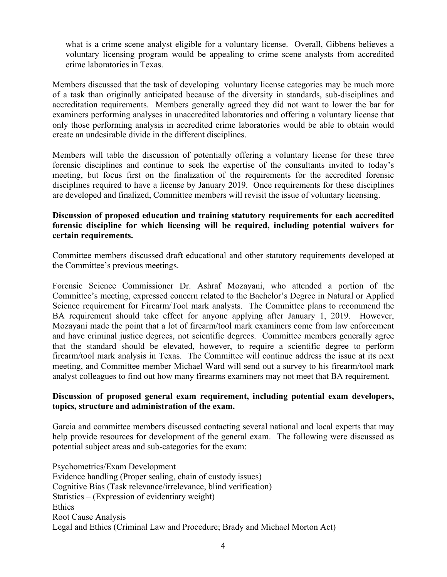what is a crime scene analyst eligible for a voluntary license. Overall, Gibbens believes a voluntary licensing program would be appealing to crime scene analysts from accredited crime laboratories in Texas.

Members discussed that the task of developing voluntary license categories may be much more of a task than originally anticipated because of the diversity in standards, sub-disciplines and accreditation requirements. Members generally agreed they did not want to lower the bar for examiners performing analyses in unaccredited laboratories and offering a voluntary license that only those performing analysis in accredited crime laboratories would be able to obtain would create an undesirable divide in the different disciplines.

Members will table the discussion of potentially offering a voluntary license for these three forensic disciplines and continue to seek the expertise of the consultants invited to today's meeting, but focus first on the finalization of the requirements for the accredited forensic disciplines required to have a license by January 2019. Once requirements for these disciplines are developed and finalized, Committee members will revisit the issue of voluntary licensing.

## **Discussion of proposed education and training statutory requirements for each accredited forensic discipline for which licensing will be required, including potential waivers for certain requirements.**

Committee members discussed draft educational and other statutory requirements developed at the Committee's previous meetings.

Forensic Science Commissioner Dr. Ashraf Mozayani, who attended a portion of the Committee's meeting, expressed concern related to the Bachelor's Degree in Natural or Applied Science requirement for Firearm/Tool mark analysts. The Committee plans to recommend the BA requirement should take effect for anyone applying after January 1, 2019. However, Mozayani made the point that a lot of firearm/tool mark examiners come from law enforcement and have criminal justice degrees, not scientific degrees. Committee members generally agree that the standard should be elevated, however, to require a scientific degree to perform firearm/tool mark analysis in Texas. The Committee will continue address the issue at its next meeting, and Committee member Michael Ward will send out a survey to his firearm/tool mark analyst colleagues to find out how many firearms examiners may not meet that BA requirement.

### **Discussion of proposed general exam requirement, including potential exam developers, topics, structure and administration of the exam.**

Garcia and committee members discussed contacting several national and local experts that may help provide resources for development of the general exam. The following were discussed as potential subject areas and sub-categories for the exam:

Psychometrics/Exam Development Evidence handling (Proper sealing, chain of custody issues) Cognitive Bias (Task relevance/irrelevance, blind verification) Statistics – (Expression of evidentiary weight) Ethics Root Cause Analysis Legal and Ethics (Criminal Law and Procedure; Brady and Michael Morton Act)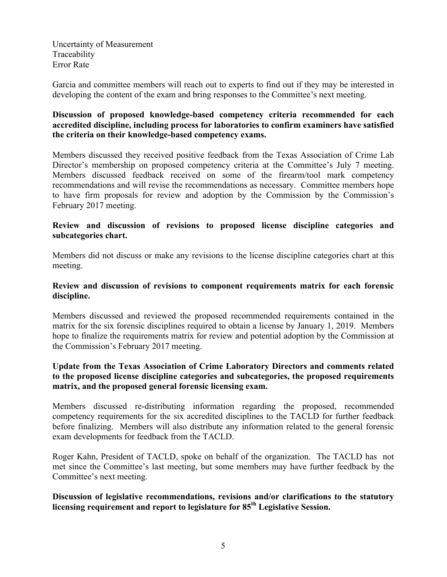Uncertainty of Measurement Traceability Error Rate

Garcia and committee members will reach out to experts to find out if they may be interested in developing the content of the exam and bring responses to the Committee's next meeting.

# **Discussion of proposed knowledge-based competency criteria recommended for each accredited discipline, including process for laboratories to confirm examiners have satisfied the criteria on their knowledge-based competency exams.**

Members discussed they received positive feedback from the Texas Association of Crime Lab Director's membership on proposed competency criteria at the Committee's July 7 meeting. Members discussed feedback received on some of the firearm/tool mark competency recommendations and will revise the recommendations as necessary. Committee members hope to have firm proposals for review and adoption by the Commission by the Commission's February 2017 meeting.

### **Review and discussion of revisions to proposed license discipline categories and subcategories chart.**

Members did not discuss or make any revisions to the license discipline categories chart at this meeting.

### **Review and discussion of revisions to component requirements matrix for each forensic discipline.**

Members discussed and reviewed the proposed recommended requirements contained in the matrix for the six forensic disciplines required to obtain a license by January 1, 2019. Members hope to finalize the requirements matrix for review and potential adoption by the Commission at the Commission's February 2017 meeting.

# **Update from the Texas Association of Crime Laboratory Directors and comments related to the proposed license discipline categories and subcategories, the proposed requirements matrix, and the proposed general forensic licensing exam.**

Members discussed re-distributing information regarding the proposed, recommended competency requirements for the six accredited disciplines to the TACLD for further feedback before finalizing. Members will also distribute any information related to the general forensic exam developments for feedback from the TACLD.

Roger Kahn, President of TACLD, spoke on behalf of the organization. The TACLD has not met since the Committee's last meeting, but some members may have further feedback by the Committee's next meeting.

# **Discussion of legislative recommendations, revisions and/or clarifications to the statutory licensing requirement and report to legislature for 85th Legislative Session.**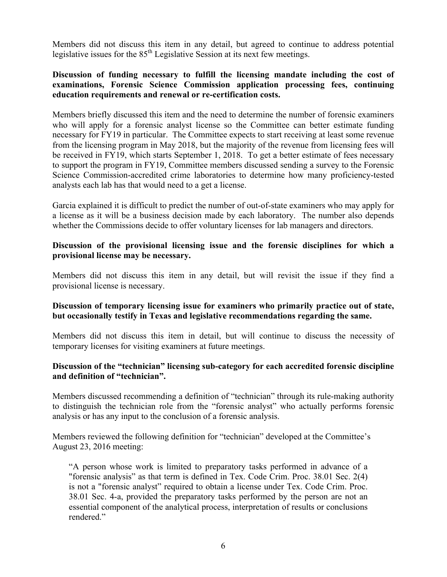Members did not discuss this item in any detail, but agreed to continue to address potential legislative issues for the  $85<sup>th</sup>$  Legislative Session at its next few meetings.

## **Discussion of funding necessary to fulfill the licensing mandate including the cost of examinations, Forensic Science Commission application processing fees, continuing education requirements and renewal or re-certification costs.**

Members briefly discussed this item and the need to determine the number of forensic examiners who will apply for a forensic analyst license so the Committee can better estimate funding necessary for FY19 in particular. The Committee expects to start receiving at least some revenue from the licensing program in May 2018, but the majority of the revenue from licensing fees will be received in FY19, which starts September 1, 2018. To get a better estimate of fees necessary to support the program in FY19, Committee members discussed sending a survey to the Forensic Science Commission-accredited crime laboratories to determine how many proficiency-tested analysts each lab has that would need to a get a license.

Garcia explained it is difficult to predict the number of out-of-state examiners who may apply for a license as it will be a business decision made by each laboratory. The number also depends whether the Commissions decide to offer voluntary licenses for lab managers and directors.

### **Discussion of the provisional licensing issue and the forensic disciplines for which a provisional license may be necessary.**

Members did not discuss this item in any detail, but will revisit the issue if they find a provisional license is necessary.

### **Discussion of temporary licensing issue for examiners who primarily practice out of state, but occasionally testify in Texas and legislative recommendations regarding the same.**

Members did not discuss this item in detail, but will continue to discuss the necessity of temporary licenses for visiting examiners at future meetings.

# **Discussion of the "technician" licensing sub-category for each accredited forensic discipline and definition of "technician".**

Members discussed recommending a definition of "technician" through its rule-making authority to distinguish the technician role from the "forensic analyst" who actually performs forensic analysis or has any input to the conclusion of a forensic analysis.

Members reviewed the following definition for "technician" developed at the Committee's August 23, 2016 meeting:

"A person whose work is limited to preparatory tasks performed in advance of a "forensic analysis" as that term is defined in Tex. Code Crim. Proc. 38.01 Sec. 2(4) is not a "forensic analyst" required to obtain a license under Tex. Code Crim. Proc. 38.01 Sec. 4-a, provided the preparatory tasks performed by the person are not an essential component of the analytical process, interpretation of results or conclusions rendered."